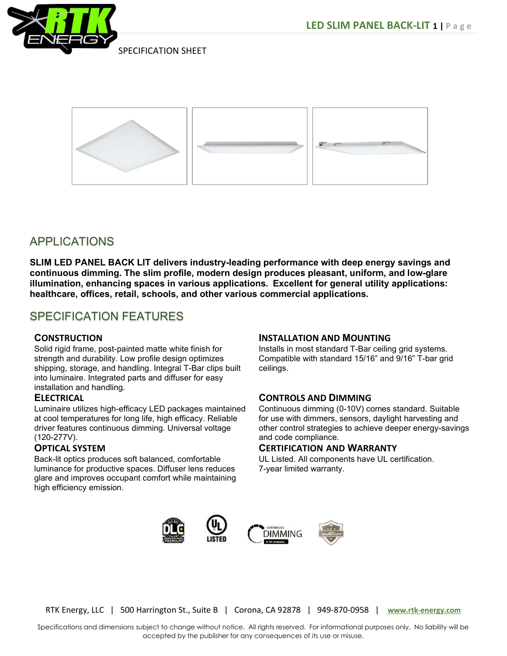



SLIM LED PANEL BACK LIT delivers industry-leading performance with deep energy savings and continuous dimming. The slim profile, modern design produces pleasant, uniform, and low-glare illumination, enhancing spaces in various applications. Excellent for general utility applications: healthcare, offices, retail, schools, and other various commercial applications.

# SPECIFICATION FEATURES

# **CONSTRUCTION**

Solid rigid frame, post-painted matte white finish for strength and durability. Low profile design optimizes shipping, storage, and handling. Integral T-Bar clips built into luminaire. Integrated parts and diffuser for easy installation and handling.

#### **ELECTRICAL**

Luminaire utilizes high-efficacy LED packages maintained at cool temperatures for long life, high efficacy. Reliable driver features continuous dimming. Universal voltage (120-277V).

#### OPTICAL SYSTEM

Back-lit optics produces soft balanced, comfortable luminance for productive spaces. Diffuser lens reduces glare and improves occupant comfort while maintaining high efficiency emission.

#### INSTALLATION AND MOUNTING

Installs in most standard T-Bar ceiling grid systems. Compatible with standard 15/16" and 9/16" T-bar grid ceilings.

#### CONTROLS AND DIMMING

Continuous dimming (0-10V) comes standard. Suitable for use with dimmers, sensors, daylight harvesting and other control strategies to achieve deeper energy-savings and code compliance.

#### CERTIFICATION AND WARRANTY

UL Listed. All components have UL certification. 7-year limited warranty.



RTK Energy, LLC | 500 Harrington St., Suite B | Corona, CA 92878 | 949-870-0958 | www.rtk-energy.com

Specifications and dimensions subject to change without notice. All rights reserved. For informational purposes only. No liability will be accepted by the publisher for any consequences of its use or misuse.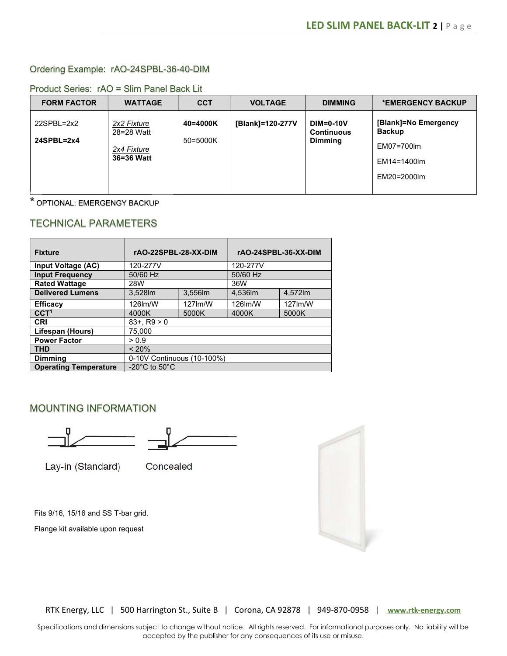### Ordering Example: rAO-24SPBL-36-40-DIM

| <b>FORM FACTOR</b> | <b>WATTAGE</b>            | <b>CCT</b> | <b>VOLTAGE</b>   | <b>DIMMING</b>                                     | *EMERGENCY BACKUP                     |
|--------------------|---------------------------|------------|------------------|----------------------------------------------------|---------------------------------------|
| $22$ SPBL= $2x2$   | 2x2 Fixture<br>28=28 Watt | 40=4000K   | [Blank]=120-277V | $DIM=0-10V$<br><b>Continuous</b><br><b>Dimming</b> | [Blank]=No Emergency<br><b>Backup</b> |
| $24$ SPBL= $2x4$   | 2x4 Fixture               | 50=5000K   |                  |                                                    | EM07=700lm                            |
|                    | 36=36 Watt                |            |                  |                                                    |                                       |
|                    |                           |            |                  |                                                    | EM14=1400lm                           |
|                    |                           |            |                  |                                                    | EM20=2000lm                           |
|                    |                           |            |                  |                                                    |                                       |

#### Product Series: rAO = Slim Panel Back Lit

\* OPTIONAL: EMERGENGY BACKUP

# TECHNICAL PARAMETERS

| <b>Fixture</b>               | rAO-22SPBL-28-XX-DIM                |         | rAO-24SPBL-36-XX-DIM |         |  |  |
|------------------------------|-------------------------------------|---------|----------------------|---------|--|--|
| Input Voltage (AC)           | 120-277V                            |         | 120-277V             |         |  |  |
| <b>Input Frequency</b>       | 50/60 Hz                            |         | 50/60 Hz             |         |  |  |
| <b>Rated Wattage</b>         | 28W                                 |         | 36W                  |         |  |  |
| <b>Delivered Lumens</b>      | 3.528lm                             | 3,556lm | 4.536lm              | 4,572lm |  |  |
| <b>Efficacy</b>              | 126lm/W                             | 127lm/W | 126lm/W              | 127lm/W |  |  |
| CCT <sup>1</sup>             | 4000K                               | 5000K   | 4000K                | 5000K   |  |  |
| <b>CRI</b>                   | $83+$ , R $9 > 0$                   |         |                      |         |  |  |
| Lifespan (Hours)             | 75.000                              |         |                      |         |  |  |
| <b>Power Factor</b>          | > 0.9                               |         |                      |         |  |  |
| <b>THD</b>                   | < 20%                               |         |                      |         |  |  |
| <b>Dimming</b>               | 0-10V Continuous (10-100%)          |         |                      |         |  |  |
| <b>Operating Temperature</b> | -20 $^{\circ}$ C to 50 $^{\circ}$ C |         |                      |         |  |  |

### MOUNTING INFORMATION





Lay-in (Standard)

Concealed

Fits 9/16, 15/16 and SS T-bar grid.

Flange kit available upon request



RTK Energy, LLC | 500 Harrington St., Suite B | Corona, CA 92878 | 949-870-0958 | www.rtk-energy.com

Specifications and dimensions subject to change without notice. All rights reserved. For informational purposes only. No liability will be accepted by the publisher for any consequences of its use or misuse.